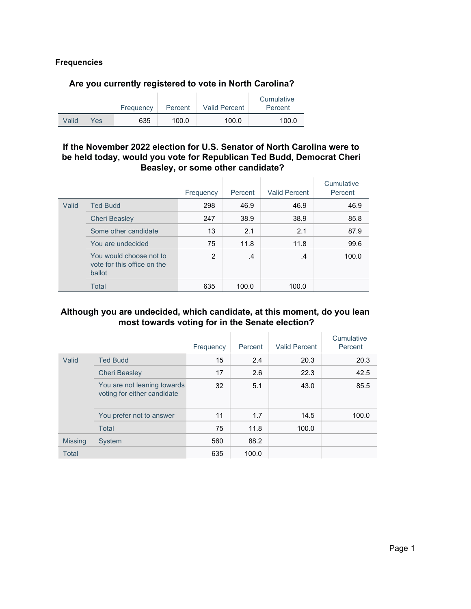#### **Frequencies**

#### **Are you currently registered to vote in North Carolina?**

|       |     | Frequency | Percent | <b>Valid Percent</b> | Cumulative<br>Percent |
|-------|-----|-----------|---------|----------------------|-----------------------|
| Valid | Yes | 635       | 100.0   | 100.0                | 100.0                 |

#### **If the November 2022 election for U.S. Senator of North Carolina were to be held today, would you vote for Republican Ted Budd, Democrat Cheri Beasley, or some other candidate?**

|       |                                                                  | Frequency     | Percent       | <b>Valid Percent</b> | Cumulative<br>Percent |
|-------|------------------------------------------------------------------|---------------|---------------|----------------------|-----------------------|
| Valid | <b>Ted Budd</b>                                                  | 298           | 46.9          | 46.9                 | 46.9                  |
|       | <b>Cheri Beasley</b>                                             | 247           | 38.9          | 38.9                 | 85.8                  |
|       | Some other candidate                                             | 13            | 2.1           | 2.1                  | 87.9                  |
|       | You are undecided                                                | 75            | 11.8          | 11.8                 | 99.6                  |
|       | You would choose not to<br>vote for this office on the<br>ballot | $\mathcal{P}$ | $\mathcal{A}$ | $\cdot$              | 100.0                 |
|       | Total                                                            | 635           | 100.0         | 100.0                |                       |

#### **Although you are undecided, which candidate, at this moment, do you lean most towards voting for in the Senate election?**

|                |                                                            | Frequency | Percent | <b>Valid Percent</b> | Cumulative<br>Percent |
|----------------|------------------------------------------------------------|-----------|---------|----------------------|-----------------------|
| Valid          | <b>Ted Budd</b>                                            | 15        | 2.4     | 20.3                 | 20.3                  |
|                | <b>Cheri Beasley</b>                                       | 17        | 2.6     | 22.3                 | 42.5                  |
|                | You are not leaning towards<br>voting for either candidate | 32        | 5.1     | 43.0                 | 85.5                  |
|                | You prefer not to answer                                   | 11        | 1.7     | 14.5                 | 100.0                 |
|                | Total                                                      | 75        | 11.8    | 100.0                |                       |
| <b>Missing</b> | <b>System</b>                                              | 560       | 88.2    |                      |                       |
| <b>Total</b>   |                                                            | 635       | 100.0   |                      |                       |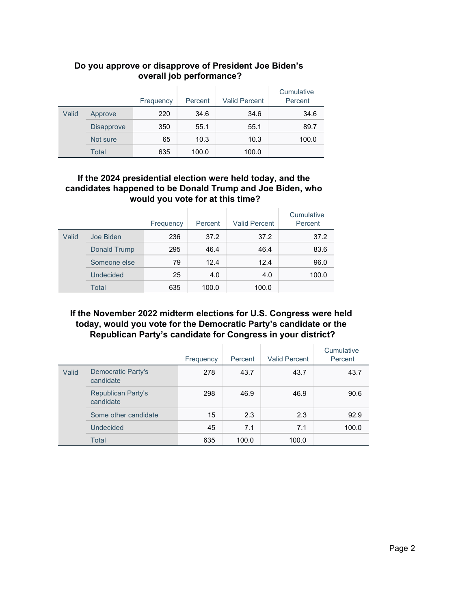|       |                   | Frequency | Percent | <b>Valid Percent</b> | Cumulative<br>Percent |
|-------|-------------------|-----------|---------|----------------------|-----------------------|
| Valid | Approve           | 220       | 34.6    | 34.6                 | 34.6                  |
|       | <b>Disapprove</b> | 350       | 55.1    | 55.1                 | 89.7                  |
|       | Not sure          | 65        | 10.3    | 10.3                 | 100.0                 |
|       | Total             | 635       | 100.0   | 100.0                |                       |

### **Do you approve or disapprove of President Joe Biden's overall job performance?**

#### **If the 2024 presidential election were held today, and the candidates happened to be Donald Trump and Joe Biden, who would you vote for at this time?**

|       |              | Frequency | Percent | <b>Valid Percent</b> | Cumulative<br>Percent |
|-------|--------------|-----------|---------|----------------------|-----------------------|
| Valid | Joe Biden    | 236       | 37.2    | 37.2                 | 37.2                  |
|       | Donald Trump | 295       | 46.4    | 46.4                 | 83.6                  |
|       | Someone else | 79        | 12.4    | 12.4                 | 96.0                  |
|       | Undecided    | 25        | 4.0     | 4.0                  | 100.0                 |
|       | <b>Total</b> | 635       | 100.0   | 100.0                |                       |

### **If the November 2022 midterm elections for U.S. Congress were held today, would you vote for the Democratic Party's candidate or the Republican Party's candidate for Congress in your district?**

|       |                                        | Frequency | Percent | <b>Valid Percent</b> | Cumulative<br>Percent |
|-------|----------------------------------------|-----------|---------|----------------------|-----------------------|
| Valid | Democratic Party's<br>candidate        | 278       | 43.7    | 43.7                 | 43.7                  |
|       | <b>Republican Party's</b><br>candidate | 298       | 46.9    | 46.9                 | 90.6                  |
|       | Some other candidate                   | 15        | 2.3     | 2.3                  | 92.9                  |
|       | Undecided                              | 45        | 7.1     | 7.1                  | 100.0                 |
|       | Total                                  | 635       | 100.0   | 100.0                |                       |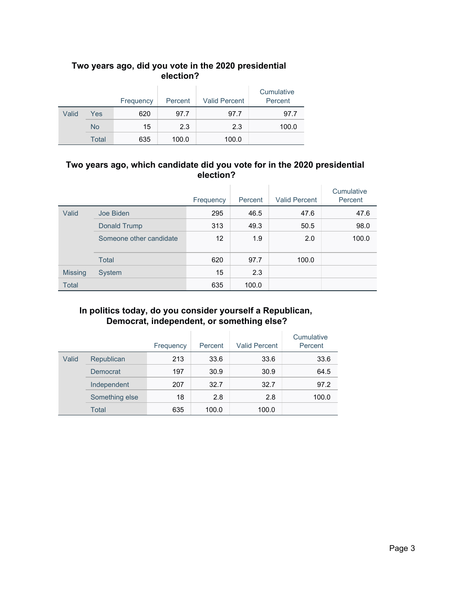# **Two years ago, did you vote in the 2020 presidential election?**

|       |           | Frequency | Percent | <b>Valid Percent</b> | Cumulative<br>Percent |
|-------|-----------|-----------|---------|----------------------|-----------------------|
| Valid | Yes       | 620       | 97.7    | 97.7                 | 97.7                  |
|       | <b>No</b> | 15        | 2.3     | 2.3                  | 100.0                 |
|       | Total     | 635       | 100.0   | 100.0                |                       |

### **Two years ago, which candidate did you vote for in the 2020 presidential election?**

|                |                         | Frequency | Percent | <b>Valid Percent</b> | Cumulative<br>Percent |
|----------------|-------------------------|-----------|---------|----------------------|-----------------------|
| Valid          | Joe Biden               | 295       | 46.5    | 47.6                 | 47.6                  |
|                | Donald Trump            | 313       | 49.3    | 50.5                 | 98.0                  |
|                | Someone other candidate | 12        | 1.9     | 2.0                  | 100.0                 |
|                | <b>Total</b>            | 620       | 97.7    | 100.0                |                       |
| <b>Missing</b> | System                  | 15        | 2.3     |                      |                       |
| <b>Total</b>   |                         | 635       | 100.0   |                      |                       |

# **In politics today, do you consider yourself a Republican, Democrat, independent, or something else?**

|       |                | Frequency | Percent | <b>Valid Percent</b> | Cumulative<br>Percent |
|-------|----------------|-----------|---------|----------------------|-----------------------|
| Valid | Republican     | 213       | 33.6    | 33.6                 | 33.6                  |
|       | Democrat       | 197       | 30.9    | 30.9                 | 64.5                  |
|       | Independent    | 207       | 32.7    | 32.7                 | 97.2                  |
|       | Something else | 18        | 2.8     | 2.8                  | 100.0                 |
|       | Total          | 635       | 100.0   | 100.0                |                       |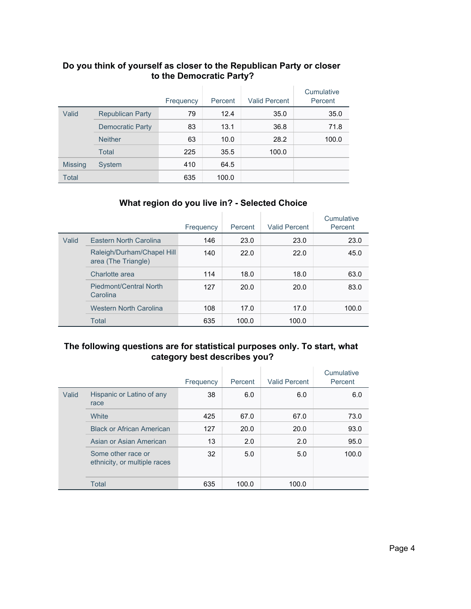|                |                         | Frequency | Percent | <b>Valid Percent</b> | Cumulative<br>Percent |
|----------------|-------------------------|-----------|---------|----------------------|-----------------------|
| Valid          | <b>Republican Party</b> | 79        | 12.4    | 35.0                 | 35.0                  |
|                | <b>Democratic Party</b> | 83        | 13.1    | 36.8                 | 71.8                  |
|                | <b>Neither</b>          | 63        | 10.0    | 28.2                 | 100.0                 |
|                | Total                   | 225       | 35.5    | 100.0                |                       |
| <b>Missing</b> | System                  | 410       | 64.5    |                      |                       |
| <b>Total</b>   |                         | 635       | 100.0   |                      |                       |

#### **Do you think of yourself as closer to the Republican Party or closer to the Democratic Party?**

# **What region do you live in? - Selected Choice**

|       |                                                   | Frequency | Percent | <b>Valid Percent</b> | Cumulative<br>Percent |
|-------|---------------------------------------------------|-----------|---------|----------------------|-----------------------|
| Valid | Eastern North Carolina                            | 146       | 23.0    | 23.0                 | 23.0                  |
|       | Raleigh/Durham/Chapel Hill<br>area (The Triangle) | 140       | 22.0    | 22.0                 | 45.0                  |
|       | Charlotte area                                    | 114       | 18.0    | 18.0                 | 63.0                  |
|       | <b>Piedmont/Central North</b><br>Carolina         | 127       | 20.0    | 20.0                 | 83.0                  |
|       | <b>Western North Carolina</b>                     | 108       | 17.0    | 17.0                 | 100.0                 |
|       | Total                                             | 635       | 100.0   | 100.0                |                       |

## **The following questions are for statistical purposes only. To start, what category best describes you?**

|       |                                                    | Frequency | Percent | <b>Valid Percent</b> | Cumulative<br>Percent |
|-------|----------------------------------------------------|-----------|---------|----------------------|-----------------------|
| Valid | Hispanic or Latino of any<br>race                  | 38        | 6.0     | 6.0                  | 6.0                   |
|       | White                                              | 425       | 67.0    | 67.0                 | 73.0                  |
|       | <b>Black or African American</b>                   | 127       | 20.0    | 20.0                 | 93.0                  |
|       | Asian or Asian American                            | 13        | 2.0     | 2.0                  | 95.0                  |
|       | Some other race or<br>ethnicity, or multiple races | 32        | 5.0     | 5.0                  | 100.0                 |
|       | Total                                              | 635       | 100.0   | 100.0                |                       |